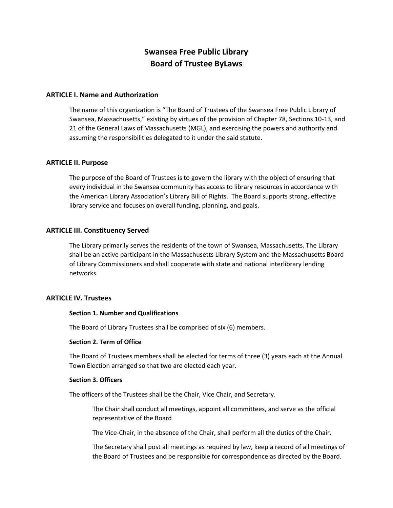# **Swansea Free Public Library Board of Trustee ByLaws**

#### **ARTICLE I. Name and Authorization**

The name of this organization is "The Board of Trustees of the Swansea Free Public Library of Swansea, Massachusetts," existing by virtues of the provision of Chapter 78, Sections 10-13, and 21 of the General Laws of Massachusetts (MGL), and exercising the powers and authority and assuming the responsibilities delegated to it under the said statute.

# **ARTICLE II. Purpose**

The purpose of the Board of Trustees is to govern the library with the object of ensuring that every individual in the Swansea community has access to library resources in accordance with the American Library Association's Library Bill of Rights. The Board supports strong, effective library service and focuses on overall funding, planning, and goals.

#### **ARTICLE III. Constituency Served**

The Library primarily serves the residents of the town of Swansea, Massachusetts. The Library shall be an active participant in the Massachusetts Library System and the Massachusetts Board of Library Commissioners and shall cooperate with state and national interlibrary lending networks.

#### **ARTICLE IV. Trustees**

#### **Section 1. Number and Qualifications**

The Board of Library Trustees shall be comprised of six (6) members.

#### **Section 2. Term of Office**

The Board of Trustees members shall be elected for terms of three (3) years each at the Annual Town Election arranged so that two are elected each year.

#### **Section 3. Officers**

The officers of the Trustees shall be the Chair, Vice Chair, and Secretary.

The Chair shall conduct all meetings, appoint all committees, and serve as the official representative of the Board

The Vice-Chair, in the absence of the Chair, shall perform all the duties of the Chair.

The Secretary shall post all meetings as required by law, keep a record of all meetings of the Board of Trustees and be responsible for correspondence as directed by the Board.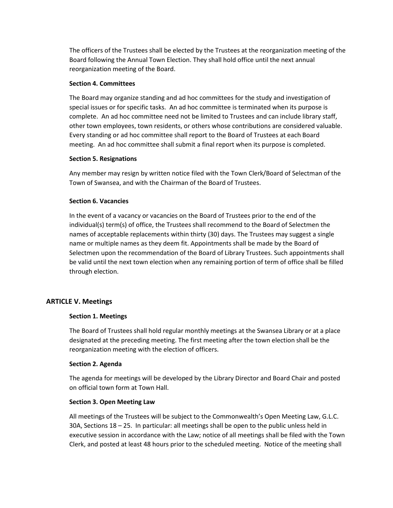The officers of the Trustees shall be elected by the Trustees at the reorganization meeting of the Board following the Annual Town Election. They shall hold office until the next annual reorganization meeting of the Board.

#### **Section 4. Committees**

The Board may organize standing and ad hoc committees for the study and investigation of special issues or for specific tasks. An ad hoc committee is terminated when its purpose is complete. An ad hoc committee need not be limited to Trustees and can include library staff, other town employees, town residents, or others whose contributions are considered valuable. Every standing or ad hoc committee shall report to the Board of Trustees at each Board meeting. An ad hoc committee shall submit a final report when its purpose is completed.

#### **Section 5. Resignations**

Any member may resign by written notice filed with the Town Clerk/Board of Selectman of the Town of Swansea, and with the Chairman of the Board of Trustees.

# **Section 6. Vacancies**

In the event of a vacancy or vacancies on the Board of Trustees prior to the end of the individual(s) term(s) of office, the Trustees shall recommend to the Board of Selectmen the names of acceptable replacements within thirty (30) days. The Trustees may suggest a single name or multiple names as they deem fit. Appointments shall be made by the Board of Selectmen upon the recommendation of the Board of Library Trustees. Such appointments shall be valid until the next town election when any remaining portion of term of office shall be filled through election.

# **ARTICLE V. Meetings**

# **Section 1. Meetings**

The Board of Trustees shall hold regular monthly meetings at the Swansea Library or at a place designated at the preceding meeting. The first meeting after the town election shall be the reorganization meeting with the election of officers.

# **Section 2. Agenda**

The agenda for meetings will be developed by the Library Director and Board Chair and posted on official town form at Town Hall.

# **Section 3. Open Meeting Law**

All meetings of the Trustees will be subject to the Commonwealth's Open Meeting Law, G.L.C. 30A, Sections 18 – 25. In particular: all meetings shall be open to the public unless held in executive session in accordance with the Law; notice of all meetings shall be filed with the Town Clerk, and posted at least 48 hours prior to the scheduled meeting. Notice of the meeting shall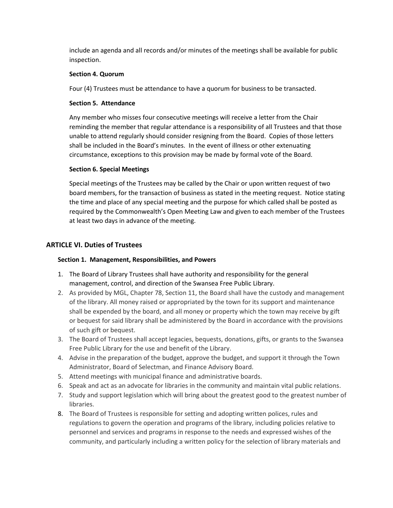include an agenda and all records and/or minutes of the meetings shall be available for public inspection.

# **Section 4. Quorum**

Four (4) Trustees must be attendance to have a quorum for business to be transacted.

# **Section 5. Attendance**

Any member who misses four consecutive meetings will receive a letter from the Chair reminding the member that regular attendance is a responsibility of all Trustees and that those unable to attend regularly should consider resigning from the Board. Copies of those letters shall be included in the Board's minutes. In the event of illness or other extenuating circumstance, exceptions to this provision may be made by formal vote of the Board.

# **Section 6. Special Meetings**

Special meetings of the Trustees may be called by the Chair or upon written request of two board members, for the transaction of business as stated in the meeting request. Notice stating the time and place of any special meeting and the purpose for which called shall be posted as required by the Commonwealth's Open Meeting Law and given to each member of the Trustees at least two days in advance of the meeting.

# **ARTICLE VI. Duties of Trustees**

# **Section 1. Management, Responsibilities, and Powers**

- 1. The Board of Library Trustees shall have authority and responsibility for the general management, control, and direction of the Swansea Free Public Library.
- 2. As provided by MGL, Chapter 78, Section 11, the Board shall have the custody and management of the library. All money raised or appropriated by the town for its support and maintenance shall be expended by the board, and all money or property which the town may receive by gift or bequest for said library shall be administered by the Board in accordance with the provisions of such gift or bequest.
- 3. The Board of Trustees shall accept legacies, bequests, donations, gifts, or grants to the Swansea Free Public Library for the use and benefit of the Library.
- 4. Advise in the preparation of the budget, approve the budget, and support it through the Town Administrator, Board of Selectman, and Finance Advisory Board.
- 5. Attend meetings with municipal finance and administrative boards.
- 6. Speak and act as an advocate for libraries in the community and maintain vital public relations.
- 7. Study and support legislation which will bring about the greatest good to the greatest number of libraries.
- 8. The Board of Trustees is responsible for setting and adopting written polices, rules and regulations to govern the operation and programs of the library, including policies relative to personnel and services and programs in response to the needs and expressed wishes of the community, and particularly including a written policy for the selection of library materials and